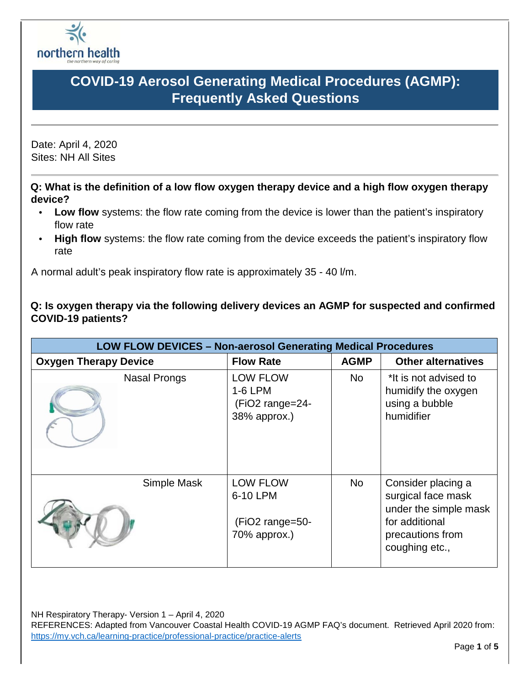

Date: April 4, 2020 Sites: NH All Sites

**Q: What is the definition of a low flow oxygen therapy device and a high flow oxygen therapy device?** 

- Low flow systems: the flow rate coming from the device is lower than the patient's inspiratory flow rate
- **High flow** systems: the flow rate coming from the device exceeds the patient's inspiratory flow rate

A normal adult's peak inspiratory flow rate is approximately 35 - 40 l/m.

**Q: Is oxygen therapy via the following delivery devices an AGMP for suspected and confirmed COVID-19 patients?** 

| <b>LOW FLOW DEVICES - Non-aerosol Generating Medical Procedures</b> |                                                                |             |                                                                                                                           |  |  |
|---------------------------------------------------------------------|----------------------------------------------------------------|-------------|---------------------------------------------------------------------------------------------------------------------------|--|--|
| <b>Oxygen Therapy Device</b>                                        | <b>Flow Rate</b>                                               | <b>AGMP</b> | <b>Other alternatives</b>                                                                                                 |  |  |
| <b>Nasal Prongs</b>                                                 | <b>LOW FLOW</b><br>1-6 LPM<br>(FiO2 range=24-<br>38% approx.)  | <b>No</b>   | *It is not advised to<br>humidify the oxygen<br>using a bubble<br>humidifier                                              |  |  |
| Simple Mask                                                         | <b>LOW FLOW</b><br>6-10 LPM<br>(FiO2 range=50-<br>70% approx.) | <b>No</b>   | Consider placing a<br>surgical face mask<br>under the simple mask<br>for additional<br>precautions from<br>coughing etc., |  |  |

NH Respiratory Therapy- Version 1 – April 4, 2020

REFERENCES: Adapted from Vancouver Coastal Health COVID-19 AGMP FAQ's document. Retrieved April 2020 from: <https://my.vch.ca/learning-practice/professional-practice/practice-alerts>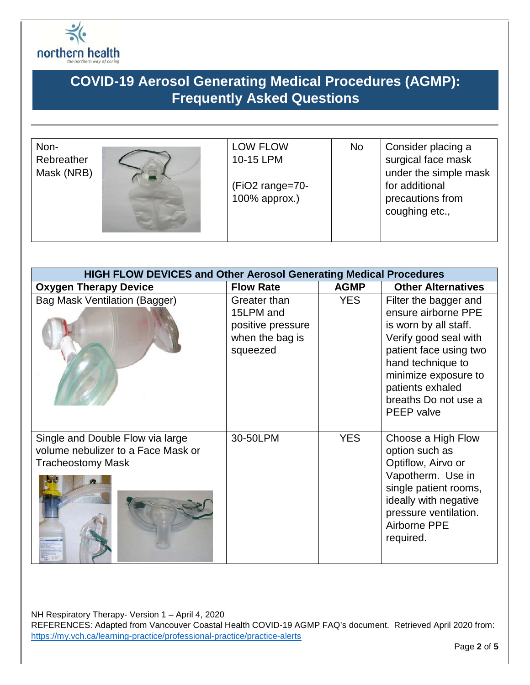

| Non-<br>Rebreather<br>Mask (NRB) | <b>LOW FLOW</b><br>10-15 LPM<br>(FiO2 range=70-<br>100% approx.) | No | Consider placing a<br>surgical face mask<br>under the simple mask<br>for additional<br>precautions from<br>coughing etc., |
|----------------------------------|------------------------------------------------------------------|----|---------------------------------------------------------------------------------------------------------------------------|
|                                  |                                                                  |    |                                                                                                                           |

| <b>HIGH FLOW DEVICES and Other Aerosol Generating Medical Procedures</b>                           |                                                                               |             |                                                                                                                                                                                                                                 |  |
|----------------------------------------------------------------------------------------------------|-------------------------------------------------------------------------------|-------------|---------------------------------------------------------------------------------------------------------------------------------------------------------------------------------------------------------------------------------|--|
| <b>Oxygen Therapy Device</b>                                                                       | <b>Flow Rate</b>                                                              | <b>AGMP</b> | <b>Other Alternatives</b>                                                                                                                                                                                                       |  |
| <b>Bag Mask Ventilation (Bagger)</b>                                                               | Greater than<br>15LPM and<br>positive pressure<br>when the bag is<br>squeezed | <b>YES</b>  | Filter the bagger and<br>ensure airborne PPE<br>is worn by all staff.<br>Verify good seal with<br>patient face using two<br>hand technique to<br>minimize exposure to<br>patients exhaled<br>breaths Do not use a<br>PEEP valve |  |
| Single and Double Flow via large<br>volume nebulizer to a Face Mask or<br><b>Tracheostomy Mask</b> | 30-50LPM                                                                      | <b>YES</b>  | Choose a High Flow<br>option such as<br>Optiflow, Airvo or<br>Vapotherm. Use in<br>single patient rooms,<br>ideally with negative<br>pressure ventilation.<br><b>Airborne PPE</b><br>required.                                  |  |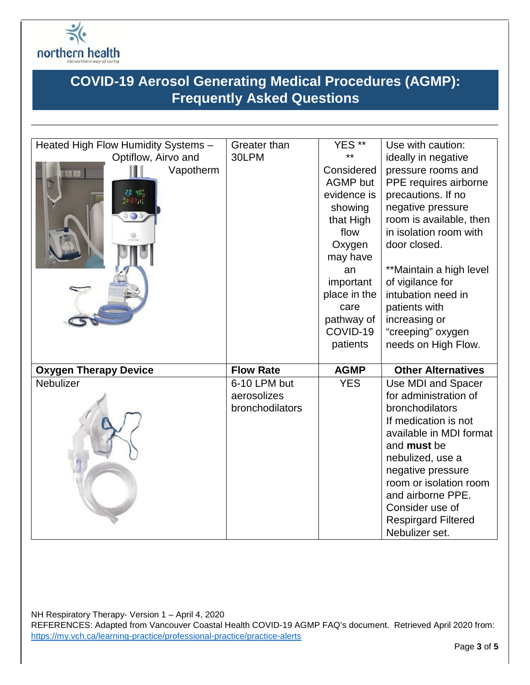

| Heated High Flow Humidity Systems -                    | Greater than     | YES **          | Use with caution:          |
|--------------------------------------------------------|------------------|-----------------|----------------------------|
| Optiflow, Airvo and                                    | 30LPM            | $***$           | ideally in negative        |
| Vapotherm                                              |                  | Considered      | pressure rooms and         |
|                                                        |                  | <b>AGMP</b> but | PPE requires airborne      |
| $20 \text{ } 40^{\circ}_{\text{D}}$<br><b>XO 31 UN</b> |                  | evidence is     | precautions. If no         |
|                                                        |                  | showing         | negative pressure          |
| $\circ$ $\circ$                                        |                  | that High       | room is available, then    |
|                                                        |                  | flow            | in isolation room with     |
|                                                        |                  | Oxygen          | door closed.               |
|                                                        |                  | may have        |                            |
|                                                        |                  | an              | **Maintain a high level    |
|                                                        |                  | important       | of vigilance for           |
|                                                        |                  | place in the    | intubation need in         |
|                                                        |                  | care            | patients with              |
|                                                        |                  | pathway of      | increasing or              |
|                                                        |                  | COVID-19        | "creeping" oxygen          |
|                                                        |                  | patients        | needs on High Flow.        |
|                                                        |                  |                 |                            |
| <b>Oxygen Therapy Device</b>                           | <b>Flow Rate</b> | <b>AGMP</b>     | <b>Other Alternatives</b>  |
| Nebulizer                                              | 6-10 LPM but     | <b>YES</b>      | Use MDI and Spacer         |
|                                                        | aerosolizes      |                 | for administration of      |
|                                                        | bronchodilators  |                 | bronchodilators            |
|                                                        |                  |                 | If medication is not       |
|                                                        |                  |                 | available in MDI format    |
|                                                        |                  |                 | and <b>must</b> be         |
|                                                        |                  |                 | nebulized, use a           |
|                                                        |                  |                 | negative pressure          |
|                                                        |                  |                 | room or isolation room     |
|                                                        |                  |                 | and airborne PPE.          |
|                                                        |                  |                 | Consider use of            |
|                                                        |                  |                 | <b>Respirgard Filtered</b> |
|                                                        |                  |                 | Nebulizer set.             |

NH Respiratory Therapy- Version 1 – April 4, 2020

REFERENCES: Adapted from Vancouver Coastal Health COVID-19 AGMP FAQ's document. Retrieved April 2020 from: <https://my.vch.ca/learning-practice/professional-practice/practice-alerts>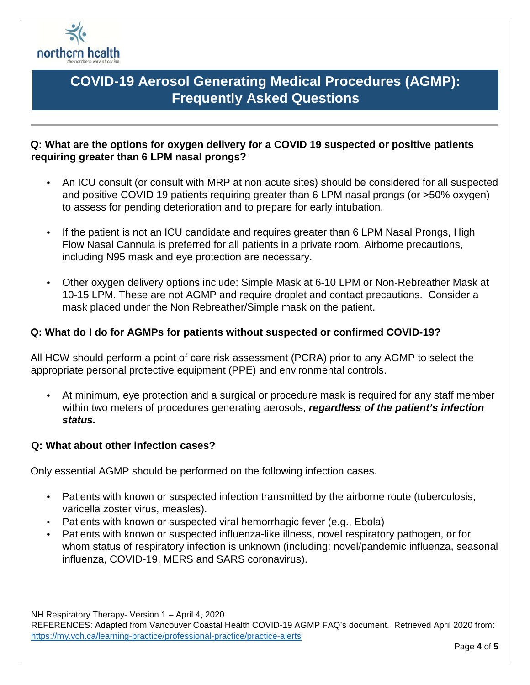

### **Q: What are the options for oxygen delivery for a COVID 19 suspected or positive patients requiring greater than 6 LPM nasal prongs?**

- An ICU consult (or consult with MRP at non acute sites) should be considered for all suspected and positive COVID 19 patients requiring greater than 6 LPM nasal prongs (or >50% oxygen) to assess for pending deterioration and to prepare for early intubation.
- If the patient is not an ICU candidate and requires greater than 6 LPM Nasal Prongs, High Flow Nasal Cannula is preferred for all patients in a private room. Airborne precautions, including N95 mask and eye protection are necessary.
- Other oxygen delivery options include: Simple Mask at 6-10 LPM or Non-Rebreather Mask at 10-15 LPM. These are not AGMP and require droplet and contact precautions. Consider a mask placed under the Non Rebreather/Simple mask on the patient.

#### **Q: What do I do for AGMPs for patients without suspected or confirmed COVID-19?**

All HCW should perform a point of care risk assessment (PCRA) prior to any AGMP to select the appropriate personal protective equipment (PPE) and environmental controls.

• At minimum, eye protection and a surgical or procedure mask is required for any staff member within two meters of procedures generating aerosols, *regardless of the patient's infection status.* 

#### **Q: What about other infection cases?**

Only essential AGMP should be performed on the following infection cases.

- Patients with known or suspected infection transmitted by the airborne route (tuberculosis, varicella zoster virus, measles).
- Patients with known or suspected viral hemorrhagic fever (e.g., Ebola)
- Patients with known or suspected influenza-like illness, novel respiratory pathogen, or for whom status of respiratory infection is unknown (including: novel/pandemic influenza, seasonal influenza, COVID-19, MERS and SARS coronavirus).